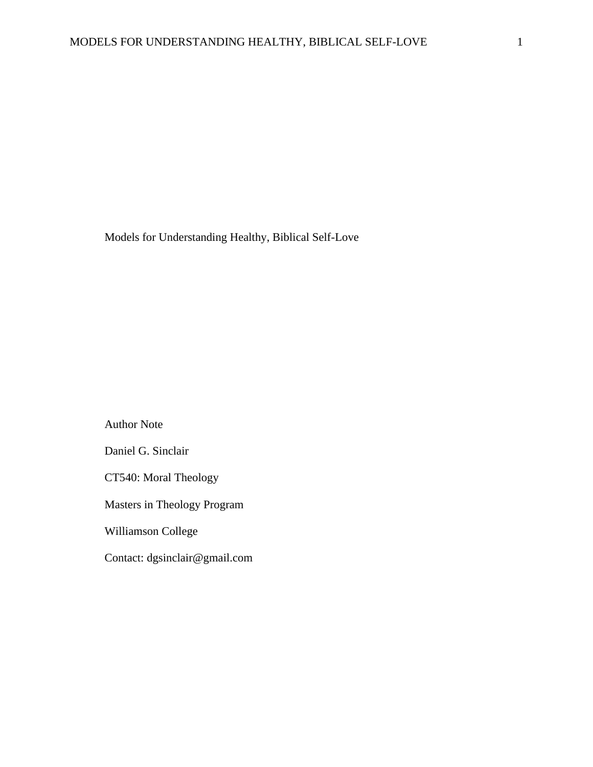Models for Understanding Healthy, Biblical Self-Love

Author Note Daniel G. Sinclair CT540: Moral Theology Masters in Theology Program Williamson College Contact: dgsinclair@gmail.com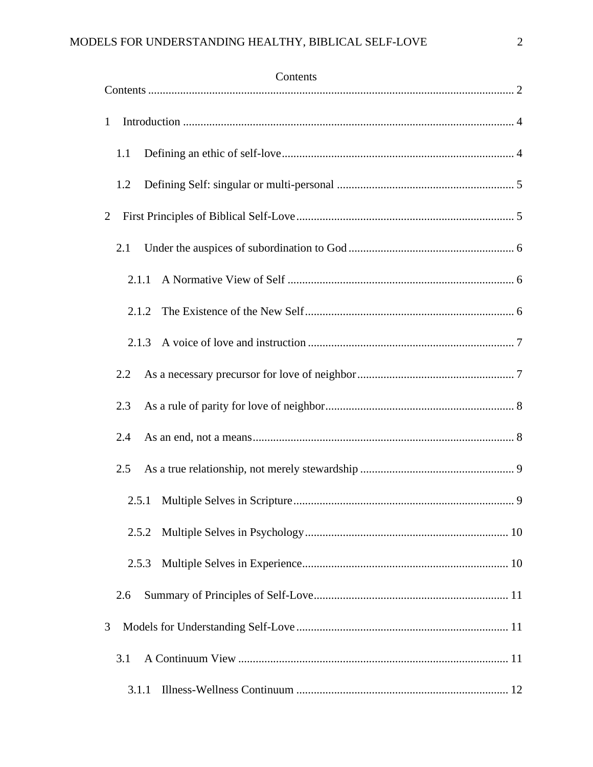<span id="page-1-0"></span>

| Contents       |  |  |  |
|----------------|--|--|--|
| $\mathbf{1}$   |  |  |  |
| 1.1            |  |  |  |
| 1.2            |  |  |  |
| $\overline{2}$ |  |  |  |
| 2.1            |  |  |  |
| 2.1.1          |  |  |  |
| 2.1.2          |  |  |  |
|                |  |  |  |
| 2.2            |  |  |  |
| 2.3            |  |  |  |
| 2.4            |  |  |  |
| 2.5            |  |  |  |
| 2.5.1          |  |  |  |
| 2.5.2          |  |  |  |
| 2.5.3          |  |  |  |
| 2.6            |  |  |  |
| 3              |  |  |  |
| 3.1            |  |  |  |
|                |  |  |  |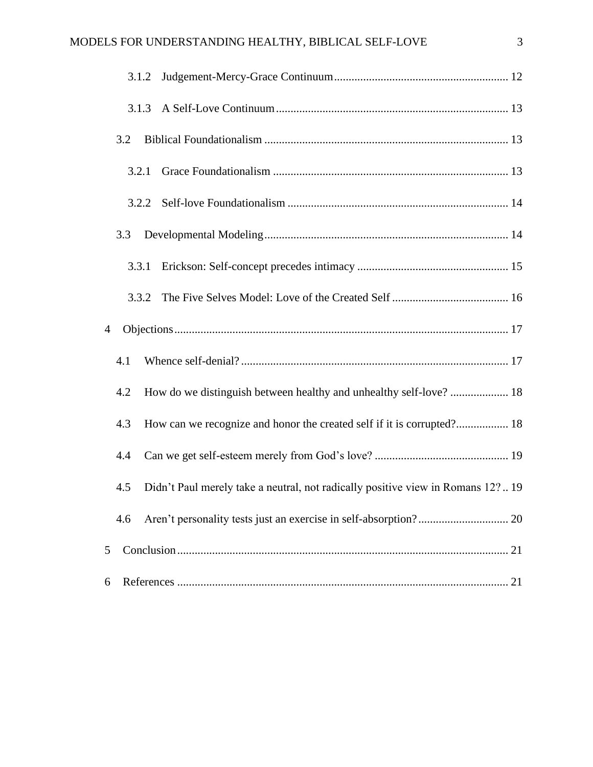|   | 3.1.2 |                                                                                 |  |  |
|---|-------|---------------------------------------------------------------------------------|--|--|
|   | 3.1.3 |                                                                                 |  |  |
|   | 3.2   |                                                                                 |  |  |
|   | 3.2.1 |                                                                                 |  |  |
|   |       |                                                                                 |  |  |
|   | 3.3   |                                                                                 |  |  |
|   | 3.3.1 |                                                                                 |  |  |
|   | 3.3.2 |                                                                                 |  |  |
| 4 |       |                                                                                 |  |  |
|   | 4.1   |                                                                                 |  |  |
|   | 4.2   | How do we distinguish between healthy and unhealthy self-love?  18              |  |  |
|   | 4.3   | How can we recognize and honor the created self if it is corrupted? 18          |  |  |
|   | 4.4   |                                                                                 |  |  |
|   | 4.5   | Didn't Paul merely take a neutral, not radically positive view in Romans 12? 19 |  |  |
|   | 4.6   |                                                                                 |  |  |
| 5 |       |                                                                                 |  |  |
| 6 |       |                                                                                 |  |  |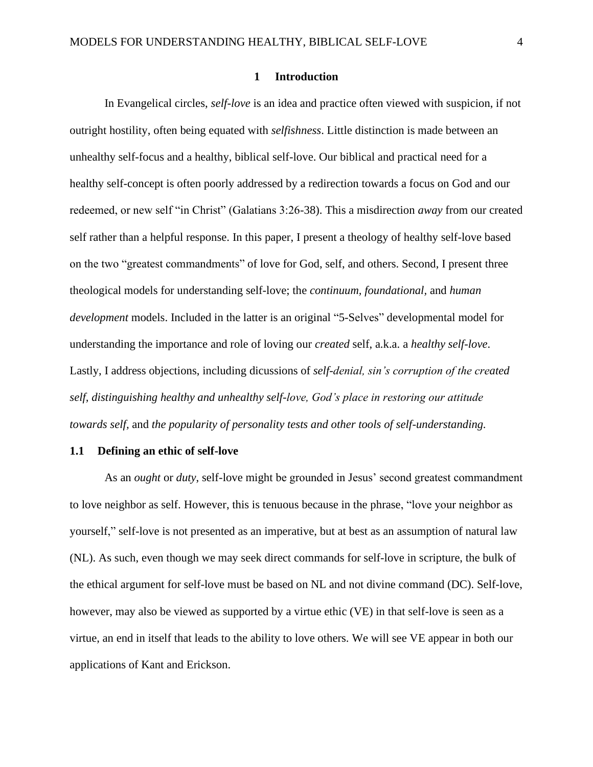### **1 Introduction**

<span id="page-3-0"></span>In Evangelical circles, *self-love* is an idea and practice often viewed with suspicion, if not outright hostility, often being equated with *selfishness*. Little distinction is made between an unhealthy self-focus and a healthy, biblical self-love. Our biblical and practical need for a healthy self-concept is often poorly addressed by a redirection towards a focus on God and our redeemed, or new self "in Christ" (Galatians 3:26-38). This a misdirection *away* from our created self rather than a helpful response. In this paper, I present a theology of healthy self-love based on the two "greatest commandments" of love for God, self, and others. Second, I present three theological models for understanding self-love; the *continuum, foundational,* and *human development* models. Included in the latter is an original "5-Selves" developmental model for understanding the importance and role of loving our *created* self, a.k.a. a *healthy self-love*. Lastly, I address objections, including dicussions of *self-denial, sin's corruption of the created self, distinguishing healthy and unhealthy self-love, God's place in restoring our attitude towards self,* and *the popularity of personality tests and other tools of self-understanding.*

### <span id="page-3-1"></span>**1.1 Defining an ethic of self-love**

As an *ought* or *duty*, self-love might be grounded in Jesus' second greatest commandment to love neighbor as self. However, this is tenuous because in the phrase, "love your neighbor as yourself," self-love is not presented as an imperative, but at best as an assumption of natural law (NL). As such, even though we may seek direct commands for self-love in scripture, the bulk of the ethical argument for self-love must be based on NL and not divine command (DC). Self-love, however, may also be viewed as supported by a virtue ethic (VE) in that self-love is seen as a virtue, an end in itself that leads to the ability to love others. We will see VE appear in both our applications of Kant and Erickson.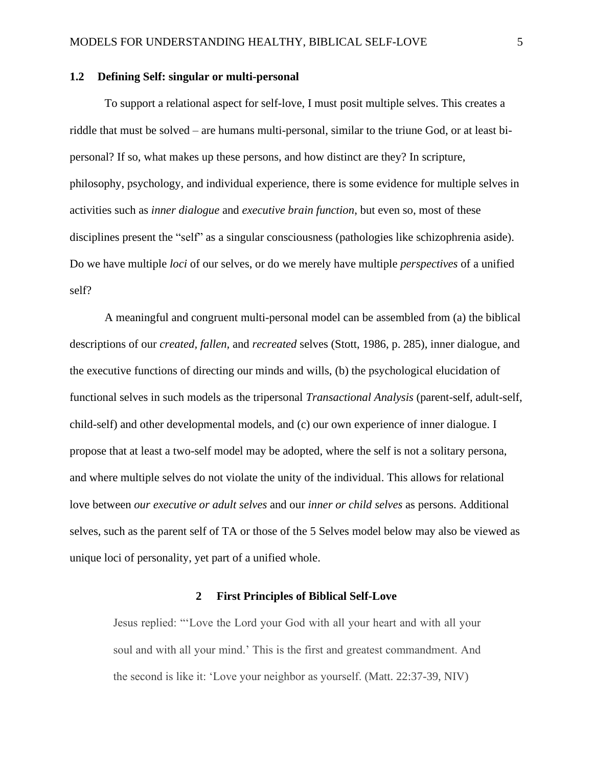### <span id="page-4-0"></span>**1.2 Defining Self: singular or multi-personal**

To support a relational aspect for self-love, I must posit multiple selves. This creates a riddle that must be solved – are humans multi-personal, similar to the triune God, or at least bipersonal? If so, what makes up these persons, and how distinct are they? In scripture, philosophy, psychology, and individual experience, there is some evidence for multiple selves in activities such as *inner dialogue* and *executive brain function*, but even so, most of these disciplines present the "self" as a singular consciousness (pathologies like schizophrenia aside). Do we have multiple *loci* of our selves, or do we merely have multiple *perspectives* of a unified self?

A meaningful and congruent multi-personal model can be assembled from (a) the biblical descriptions of our *created, fallen,* and *recreated* selves (Stott, 1986, p. 285), inner dialogue, and the executive functions of directing our minds and wills, (b) the psychological elucidation of functional selves in such models as the tripersonal *Transactional Analysis* (parent-self, adult-self, child-self) and other developmental models, and (c) our own experience of inner dialogue. I propose that at least a two-self model may be adopted, where the self is not a solitary persona, and where multiple selves do not violate the unity of the individual. This allows for relational love between *our executive or adult selves* and our *inner or child selves* as persons. Additional selves, such as the parent self of TA or those of the 5 Selves model below may also be viewed as unique loci of personality, yet part of a unified whole.

### **2 First Principles of Biblical Self-Love**

<span id="page-4-1"></span>Jesus replied: "'Love the Lord your God with all your heart and with all your soul and with all your mind.' This is the first and greatest commandment. And the second is like it: 'Love your neighbor as yourself. (Matt. 22:37-39, NIV)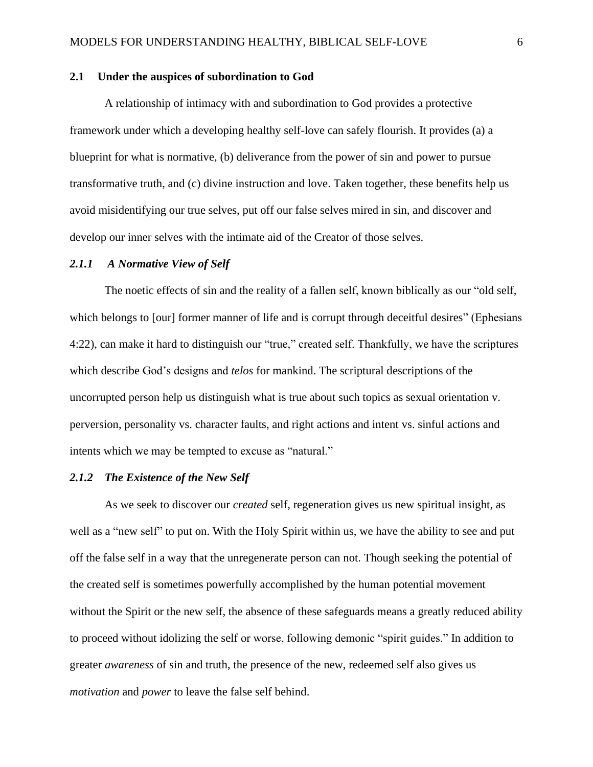### <span id="page-5-0"></span>**2.1 Under the auspices of subordination to God**

A relationship of intimacy with and subordination to God provides a protective framework under which a developing healthy self-love can safely flourish. It provides (a) a blueprint for what is normative, (b) deliverance from the power of sin and power to pursue transformative truth, and (c) divine instruction and love. Taken together, these benefits help us avoid misidentifying our true selves, put off our false selves mired in sin, and discover and develop our inner selves with the intimate aid of the Creator of those selves.

### <span id="page-5-1"></span>*2.1.1 A Normative View of Self*

The noetic effects of sin and the reality of a fallen self, known biblically as our "old self, which belongs to [our] former manner of life and is corrupt through deceitful desires" (Ephesians 4:22), can make it hard to distinguish our "true," created self. Thankfully, we have the scriptures which describe God's designs and *telos* for mankind. The scriptural descriptions of the uncorrupted person help us distinguish what is true about such topics as sexual orientation v. perversion, personality vs. character faults, and right actions and intent vs. sinful actions and intents which we may be tempted to excuse as "natural."

### <span id="page-5-2"></span>*2.1.2 The Existence of the New Self*

As we seek to discover our *created* self, regeneration gives us new spiritual insight, as well as a "new self" to put on. With the Holy Spirit within us, we have the ability to see and put off the false self in a way that the unregenerate person can not. Though seeking the potential of the created self is sometimes powerfully accomplished by the human potential movement without the Spirit or the new self, the absence of these safeguards means a greatly reduced ability to proceed without idolizing the self or worse, following demonic "spirit guides." In addition to greater *awareness* of sin and truth, the presence of the new, redeemed self also gives us *motivation* and *power* to leave the false self behind.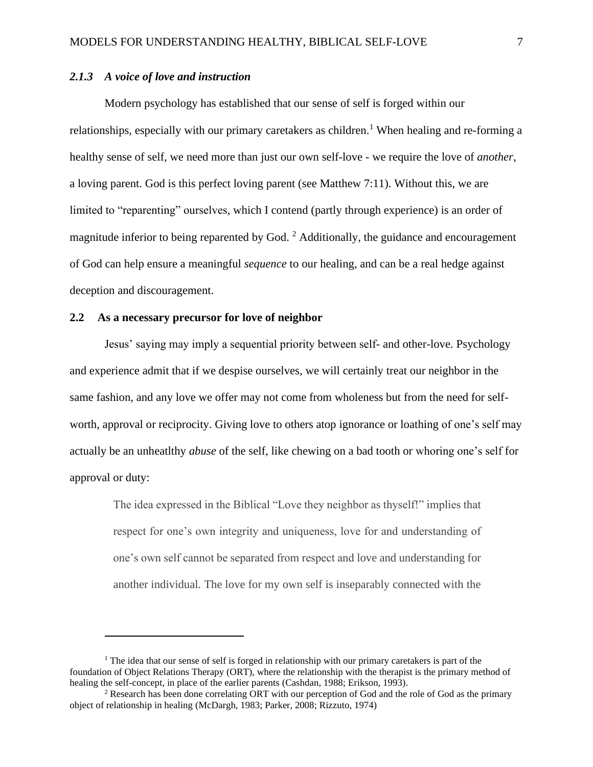# <span id="page-6-0"></span>*2.1.3 A voice of love and instruction*

Modern psychology has established that our sense of self is forged within our relationships, especially with our primary caretakers as children.<sup>1</sup> When healing and re-forming a healthy sense of self, we need more than just our own self-love - we require the love of *another*, a loving parent. God is this perfect loving parent (see Matthew 7:11). Without this, we are limited to "reparenting" ourselves, which I contend (partly through experience) is an order of magnitude inferior to being reparented by God.<sup>2</sup> Additionally, the guidance and encouragement of God can help ensure a meaningful *sequence* to our healing, and can be a real hedge against deception and discouragement.

# <span id="page-6-1"></span>**2.2 As a necessary precursor for love of neighbor**

Jesus' saying may imply a sequential priority between self- and other-love. Psychology and experience admit that if we despise ourselves, we will certainly treat our neighbor in the same fashion, and any love we offer may not come from wholeness but from the need for selfworth, approval or reciprocity. Giving love to others atop ignorance or loathing of one's self may actually be an unheatlthy *abuse* of the self, like chewing on a bad tooth or whoring one's self for approval or duty:

The idea expressed in the Biblical "Love they neighbor as thyself!" implies that respect for one's own integrity and uniqueness, love for and understanding of one's own self cannot be separated from respect and love and understanding for another individual. The love for my own self is inseparably connected with the

 $1$  The idea that our sense of self is forged in relationship with our primary caretakers is part of the foundation of Object Relations Therapy (ORT), where the relationship with the therapist is the primary method of healing the self-concept, in place of the earlier parents (Cashdan, 1988; Erikson, 1993).

<sup>&</sup>lt;sup>2</sup> Research has been done correlating ORT with our perception of God and the role of God as the primary object of relationship in healing (McDargh, 1983; Parker, 2008; Rizzuto, 1974)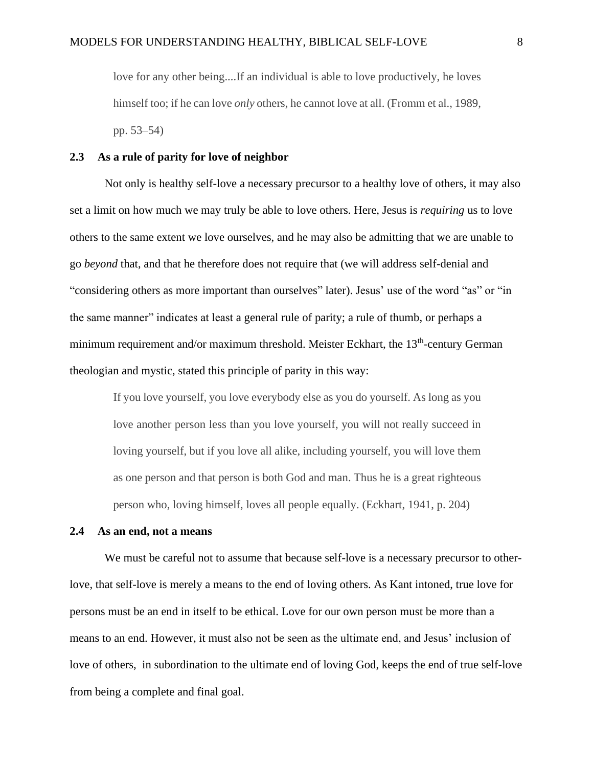love for any other being....If an individual is able to love productively, he loves himself too; if he can love *only* others, he cannot love at all. (Fromm et al., 1989, pp. 53–54)

### <span id="page-7-0"></span>**2.3 As a rule of parity for love of neighbor**

Not only is healthy self-love a necessary precursor to a healthy love of others, it may also set a limit on how much we may truly be able to love others. Here, Jesus is *requiring* us to love others to the same extent we love ourselves, and he may also be admitting that we are unable to go *beyond* that, and that he therefore does not require that (we will address self-denial and "considering others as more important than ourselves" later). Jesus' use of the word "as" or "in the same manner" indicates at least a general rule of parity; a rule of thumb, or perhaps a minimum requirement and/or maximum threshold. Meister Eckhart, the 13<sup>th</sup>-century German theologian and mystic, stated this principle of parity in this way:

If you love yourself, you love everybody else as you do yourself. As long as you love another person less than you love yourself, you will not really succeed in loving yourself, but if you love all alike, including yourself, you will love them as one person and that person is both God and man. Thus he is a great righteous person who, loving himself, loves all people equally. (Eckhart, 1941, p. 204)

# <span id="page-7-1"></span>**2.4 As an end, not a means**

We must be careful not to assume that because self-love is a necessary precursor to otherlove, that self-love is merely a means to the end of loving others. As Kant intoned, true love for persons must be an end in itself to be ethical. Love for our own person must be more than a means to an end. However, it must also not be seen as the ultimate end, and Jesus' inclusion of love of others, in subordination to the ultimate end of loving God, keeps the end of true self-love from being a complete and final goal.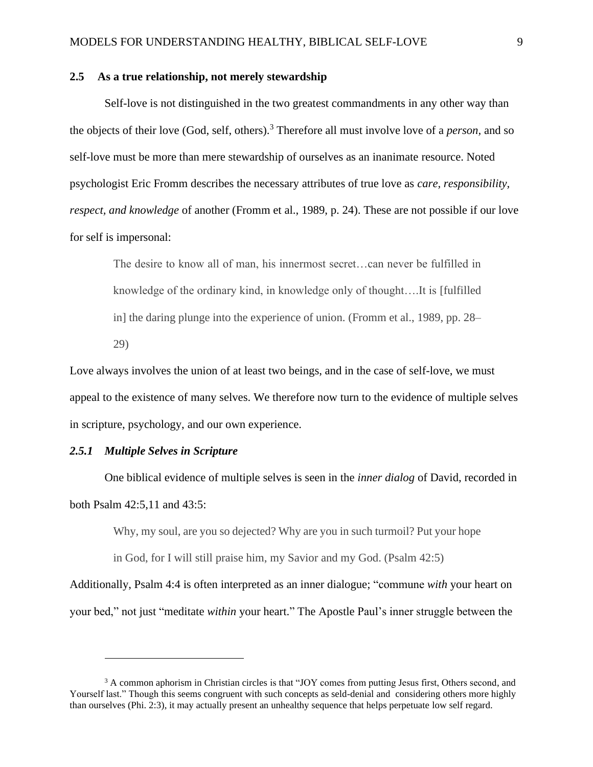### <span id="page-8-0"></span>**2.5 As a true relationship, not merely stewardship**

Self-love is not distinguished in the two greatest commandments in any other way than the objects of their love (God, self, others). <sup>3</sup> Therefore all must involve love of a *person,* and so self-love must be more than mere stewardship of ourselves as an inanimate resource. Noted psychologist Eric Fromm describes the necessary attributes of true love as *care, responsibility, respect, and knowledge* of another (Fromm et al., 1989, p. 24). These are not possible if our love for self is impersonal:

The desire to know all of man, his innermost secret…can never be fulfilled in knowledge of the ordinary kind, in knowledge only of thought….It is [fulfilled in] the daring plunge into the experience of union. (Fromm et al., 1989, pp. 28– 29)

Love always involves the union of at least two beings, and in the case of self-love, we must appeal to the existence of many selves. We therefore now turn to the evidence of multiple selves in scripture, psychology, and our own experience.

# <span id="page-8-1"></span>*2.5.1 Multiple Selves in Scripture*

One biblical evidence of multiple selves is seen in the *inner dialog* of David, recorded in both Psalm 42:5,11 and 43:5:

Why, my soul, are you so dejected? Why are you in such turmoil? Put your hope

in God, for I will still praise him, my Savior and my God. (Psalm 42:5)

Additionally, Psalm 4:4 is often interpreted as an inner dialogue; "commune *with* your heart on your bed," not just "meditate *within* your heart." The Apostle Paul's inner struggle between the

<sup>&</sup>lt;sup>3</sup> A common aphorism in Christian circles is that "JOY comes from putting Jesus first, Others second, and Yourself last." Though this seems congruent with such concepts as seld-denial and considering others more highly than ourselves (Phi. 2:3), it may actually present an unhealthy sequence that helps perpetuate low self regard.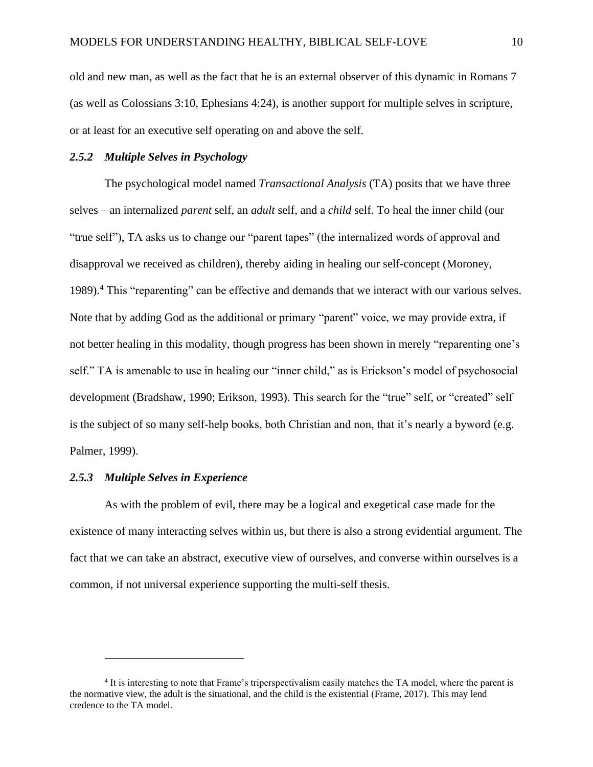old and new man, as well as the fact that he is an external observer of this dynamic in Romans 7 (as well as Colossians 3:10, Ephesians 4:24), is another support for multiple selves in scripture, or at least for an executive self operating on and above the self.

# <span id="page-9-0"></span>*2.5.2 Multiple Selves in Psychology*

The psychological model named *Transactional Analysis* (TA) posits that we have three selves – an internalized *parent* self, an *adult* self, and a *child* self. To heal the inner child (our "true self"), TA asks us to change our "parent tapes" (the internalized words of approval and disapproval we received as children), thereby aiding in healing our self-concept (Moroney, 1989).<sup>4</sup> This "reparenting" can be effective and demands that we interact with our various selves. Note that by adding God as the additional or primary "parent" voice, we may provide extra, if not better healing in this modality, though progress has been shown in merely "reparenting one's self." TA is amenable to use in healing our "inner child," as is Erickson's model of psychosocial development (Bradshaw, 1990; Erikson, 1993). This search for the "true" self, or "created" self is the subject of so many self-help books, both Christian and non, that it's nearly a byword (e.g. Palmer, 1999).

# <span id="page-9-1"></span>*2.5.3 Multiple Selves in Experience*

As with the problem of evil, there may be a logical and exegetical case made for the existence of many interacting selves within us, but there is also a strong evidential argument. The fact that we can take an abstract, executive view of ourselves, and converse within ourselves is a common, if not universal experience supporting the multi-self thesis.

<sup>4</sup> It is interesting to note that Frame's triperspectivalism easily matches the TA model, where the parent is the normative view, the adult is the situational, and the child is the existential (Frame, 2017). This may lend credence to the TA model.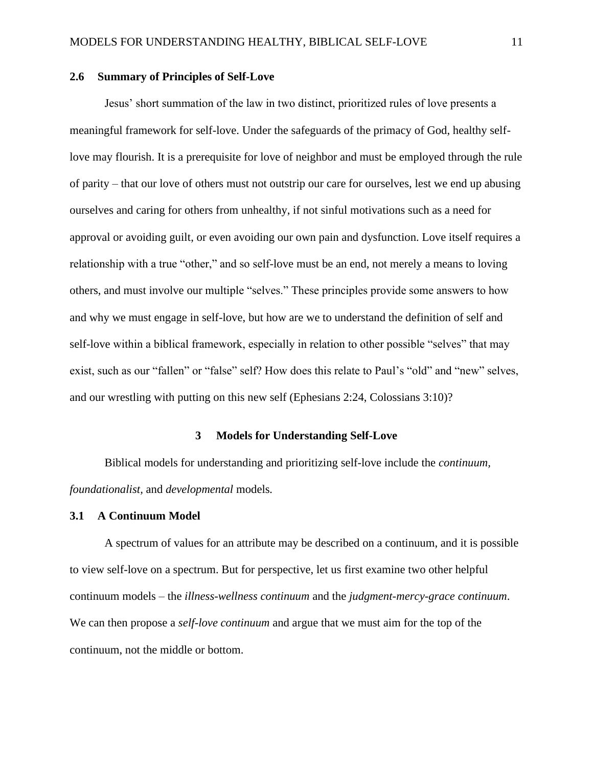### <span id="page-10-0"></span>**2.6 Summary of Principles of Self-Love**

Jesus' short summation of the law in two distinct, prioritized rules of love presents a meaningful framework for self-love. Under the safeguards of the primacy of God, healthy selflove may flourish. It is a prerequisite for love of neighbor and must be employed through the rule of parity – that our love of others must not outstrip our care for ourselves, lest we end up abusing ourselves and caring for others from unhealthy, if not sinful motivations such as a need for approval or avoiding guilt, or even avoiding our own pain and dysfunction. Love itself requires a relationship with a true "other," and so self-love must be an end, not merely a means to loving others, and must involve our multiple "selves." These principles provide some answers to how and why we must engage in self-love, but how are we to understand the definition of self and self-love within a biblical framework, especially in relation to other possible "selves" that may exist, such as our "fallen" or "false" self? How does this relate to Paul's "old" and "new" selves, and our wrestling with putting on this new self (Ephesians 2:24, Colossians 3:10)?

### **3 Models for Understanding Self-Love**

<span id="page-10-1"></span>Biblical models for understanding and prioritizing self-love include the *continuum, foundationalist,* and *developmental* models*.* 

# <span id="page-10-2"></span>**3.1 A Continuum Model**

A spectrum of values for an attribute may be described on a continuum, and it is possible to view self-love on a spectrum. But for perspective, let us first examine two other helpful continuum models – the *illness-wellness continuum* and the *judgment-mercy-grace continuum*. We can then propose a *self-love continuum* and argue that we must aim for the top of the continuum, not the middle or bottom.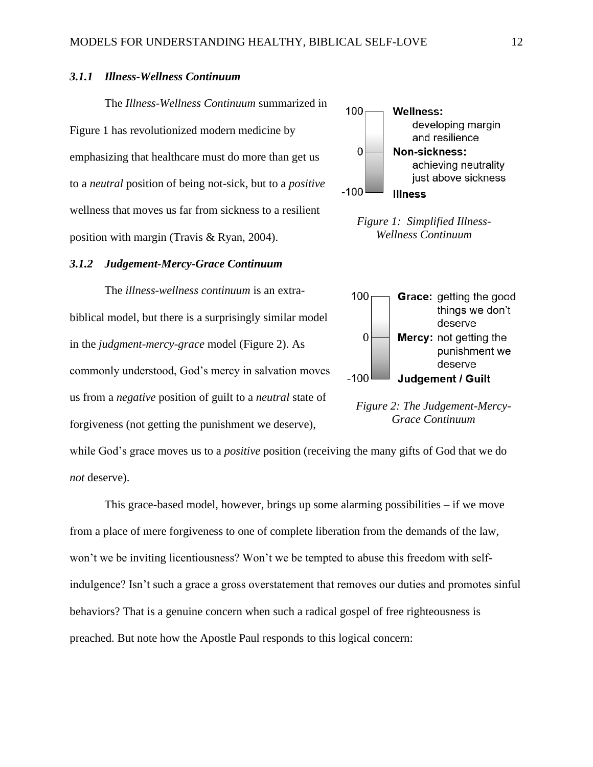# <span id="page-11-0"></span>*3.1.1 Illness-Wellness Continuum*

The *Illness-Wellness Continuum* summarized in [Figure 1](#page-11-2) has revolutionized modern medicine by emphasizing that healthcare must do more than get us to a *neutral* position of being not-sick, but to a *positive* wellness that moves us far from sickness to a resilient position with margin (Travis & Ryan, 2004).

#### <span id="page-11-1"></span>*3.1.2 Judgement-Mercy-Grace Continuum*

The *illness-wellness continuum* is an extrabiblical model, but there is a surprisingly similar model in the *judgment-mercy-grace* model [\(Figure 2\)](#page-11-3). As commonly understood, God's mercy in salvation moves us from a *negative* position of guilt to a *neutral* state of forgiveness (not getting the punishment we deserve),

while God's grace moves us to a *positive* position (receiving the many gifts of God that we do *not* deserve).

This grace-based model, however, brings up some alarming possibilities – if we move from a place of mere forgiveness to one of complete liberation from the demands of the law, won't we be inviting licentiousness? Won't we be tempted to abuse this freedom with selfindulgence? Isn't such a grace a gross overstatement that removes our duties and promotes sinful behaviors? That is a genuine concern when such a radical gospel of free righteousness is preached. But note how the Apostle Paul responds to this logical concern:



<span id="page-11-2"></span>*Figure 1: Simplified Illness-Wellness Continuum*



<span id="page-11-3"></span>*Figure 2: The Judgement-Mercy-Grace Continuum*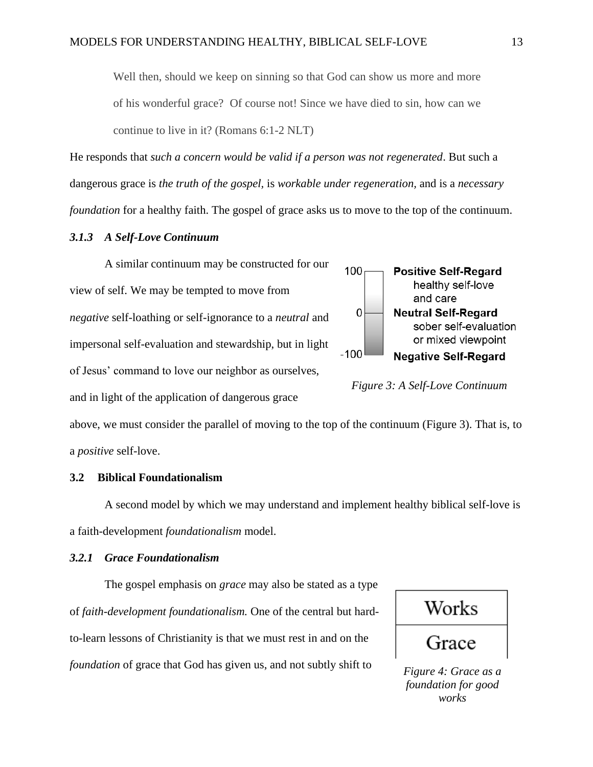Well then, should we keep on sinning so that God can show us more and more of his wonderful grace? Of course not! Since we have died to sin, how can we continue to live in it? (Romans 6:1-2 NLT)

He responds that *such a concern would be valid if a person was not regenerated*. But such a dangerous grace is *the truth of the gospel,* is *workable under regeneration,* and is a *necessary foundation* for a healthy faith. The gospel of grace asks us to move to the top of the continuum.

# <span id="page-12-0"></span>*3.1.3 A Self-Love Continuum*

A similar continuum may be constructed for our view of self. We may be tempted to move from *negative* self-loathing or self-ignorance to a *neutral* and impersonal self-evaluation and stewardship, but in light of Jesus' command to love our neighbor as ourselves, and in light of the application of dangerous grace



<span id="page-12-3"></span>*Figure 3: A Self-Love Continuum*

above, we must consider the parallel of moving to the top of the continuum [\(Figure 3\)](#page-12-3). That is, to a *positive* self-love.

### <span id="page-12-1"></span>**3.2 Biblical Foundationalism**

A second model by which we may understand and implement healthy biblical self-love is a faith-development *foundationalism* model.

#### <span id="page-12-2"></span>*3.2.1 Grace Foundationalism*

The gospel emphasis on *grace* may also be stated as a type of *faith-development foundationalism.* One of the central but hardto-learn lessons of Christianity is that we must rest in and on the *foundation* of grace that God has given us, and not subtly shift to

Works Grace

*Figure 4: Grace as a foundation for good works*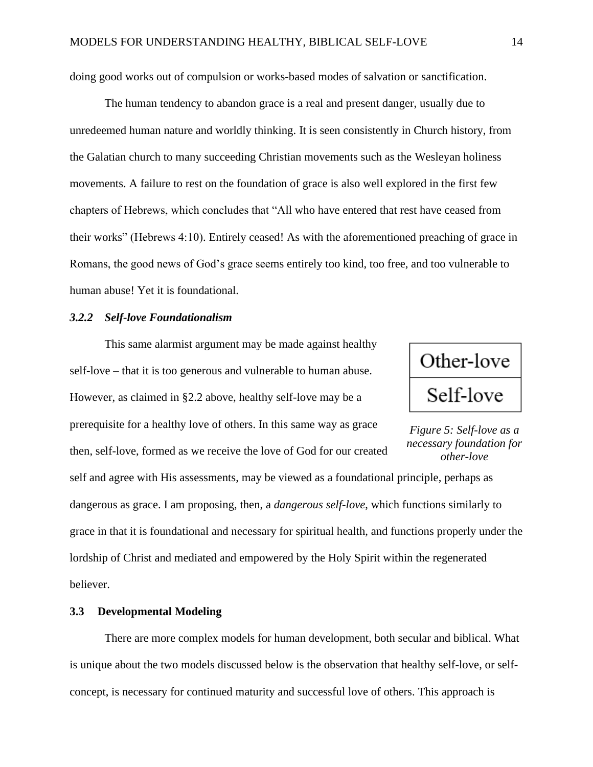doing good works out of compulsion or works-based modes of salvation or sanctification.

The human tendency to abandon grace is a real and present danger, usually due to unredeemed human nature and worldly thinking. It is seen consistently in Church history, from the Galatian church to many succeeding Christian movements such as the Wesleyan holiness movements. A failure to rest on the foundation of grace is also well explored in the first few chapters of Hebrews, which concludes that "All who have entered that rest have ceased from their works" (Hebrews 4:10). Entirely ceased! As with the aforementioned preaching of grace in Romans, the good news of God's grace seems entirely too kind, too free, and too vulnerable to human abuse! Yet it is foundational.

### <span id="page-13-0"></span>*3.2.2 Self-love Foundationalism*

This same alarmist argument may be made against healthy self-love – that it is too generous and vulnerable to human abuse. However, as claimed in [§2.2 above,](#page-6-1) healthy self-love may be a prerequisite for a healthy love of others. In this same way as grace then, self-love, formed as we receive the love of God for our created self and agree with His assessments, may be viewed as a foundational principle, perhaps as



*Figure 5: Self-love as a necessary foundation for other-love*

dangerous as grace. I am proposing, then, a *dangerous self-love*, which functions similarly to grace in that it is foundational and necessary for spiritual health, and functions properly under the lordship of Christ and mediated and empowered by the Holy Spirit within the regenerated believer.

# <span id="page-13-1"></span>**3.3 Developmental Modeling**

There are more complex models for human development, both secular and biblical. What is unique about the two models discussed below is the observation that healthy self-love, or selfconcept, is necessary for continued maturity and successful love of others. This approach is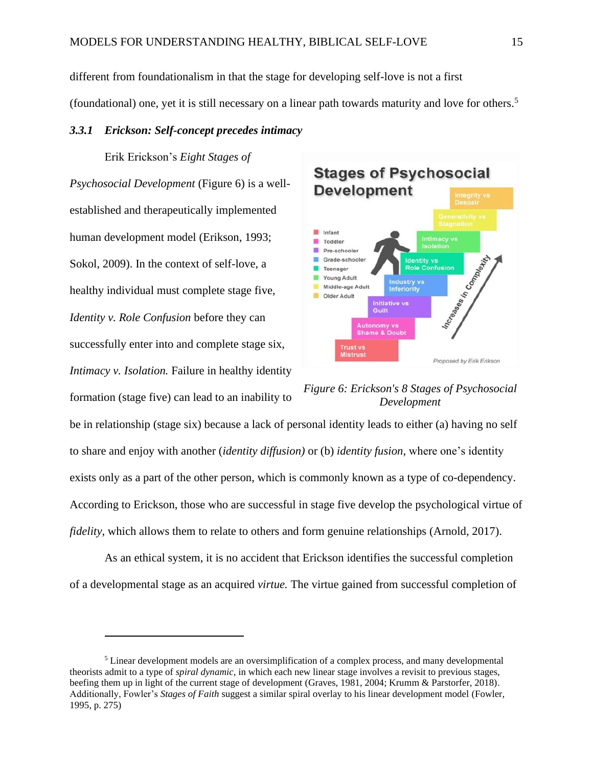different from foundationalism in that the stage for developing self-love is not a first (foundational) one, yet it is still necessary on a linear path towards maturity and love for others. 5

### <span id="page-14-0"></span>*3.3.1 Erickson: Self-concept precedes intimacy*

Erik Erickson's *Eight Stages of Psychosocial Development* [\(Figure 6\)](#page-14-1) is a wellestablished and therapeutically implemented human development model (Erikson, 1993; Sokol, 2009). In the context of self-love, a healthy individual must complete stage five, *Identity v. Role Confusion* before they can successfully enter into and complete stage six, *Intimacy v. Isolation.* Failure in healthy identity formation (stage five) can lead to an inability to



<span id="page-14-1"></span>

be in relationship (stage six) because a lack of personal identity leads to either (a) having no self to share and enjoy with another (*identity diffusion)* or (b) *identity fusion*, where one's identity exists only as a part of the other person, which is commonly known as a type of co-dependency. According to Erickson, those who are successful in stage five develop the psychological virtue of *fidelity*, which allows them to relate to others and form genuine relationships (Arnold, 2017).

As an ethical system, it is no accident that Erickson identifies the successful completion of a developmental stage as an acquired *virtue.* The virtue gained from successful completion of

<sup>&</sup>lt;sup>5</sup> Linear development models are an oversimplification of a complex process, and many developmental theorists admit to a type of *spiral dynamic*, in which each new linear stage involves a revisit to previous stages, beefing them up in light of the current stage of development (Graves, 1981, 2004; Krumm & Parstorfer, 2018). Additionally, Fowler's *Stages of Faith* suggest a similar spiral overlay to his linear development model (Fowler, 1995, p. 275)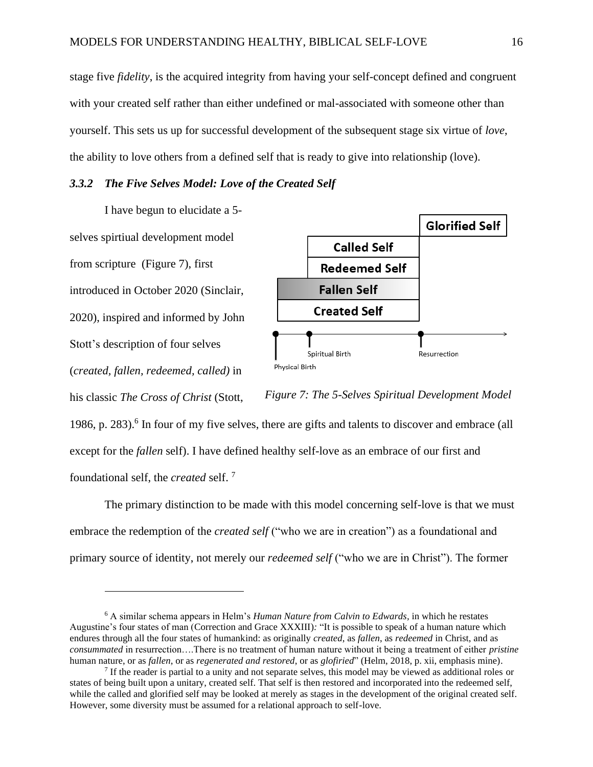stage five *fidelity*, is the acquired integrity from having your self-concept defined and congruent with your created self rather than either undefined or mal-associated with someone other than yourself. This sets us up for successful development of the subsequent stage six virtue of *love*, the ability to love others from a defined self that is ready to give into relationship (love).

# <span id="page-15-0"></span>*3.3.2 The Five Selves Model: Love of the Created Self*

I have begun to elucidate a 5 selves spirtiual development model from scripture [\(Figure 7\)](#page-15-1), first introduced in October 2020 (Sinclair, 2020), inspired and informed by John Stott's description of four selves (*created, fallen, redeemed, called)* in his classic *The Cross of Christ* (Stott,



<span id="page-15-1"></span>*Figure 7: The 5-Selves Spiritual Development Model*

1986, p. 283). 6 In four of my five selves, there are gifts and talents to discover and embrace (all except for the *fallen* self). I have defined healthy self-love as an embrace of our first and foundational self, the *created* self. <sup>7</sup>

The primary distinction to be made with this model concerning self-love is that we must embrace the redemption of the *created self* ("who we are in creation") as a foundational and primary source of identity, not merely our *redeemed self* ("who we are in Christ"). The former

<sup>6</sup> A similar schema appears in Helm's *Human Nature from Calvin to Edwards,* in which he restates Augustine's four states of man (Correction and Grace XXXIII)*:* "It is possible to speak of a human nature which endures through all the four states of humankind: as originally *created*, as *fallen*, as *redeemed* in Christ, and as *consummated* in resurrection….There is no treatment of human nature without it being a treatment of either *pristine* human nature, or as *fallen*, or as *regenerated and restored*, or as *glofiried*" (Helm, 2018, p. xii, emphasis mine).

If the reader is partial to a unity and not separate selves, this model may be viewed as additional roles or states of being built upon a unitary, created self. That self is then restored and incorporated into the redeemed self, while the called and glorified self may be looked at merely as stages in the development of the original created self. However, some diversity must be assumed for a relational approach to self-love.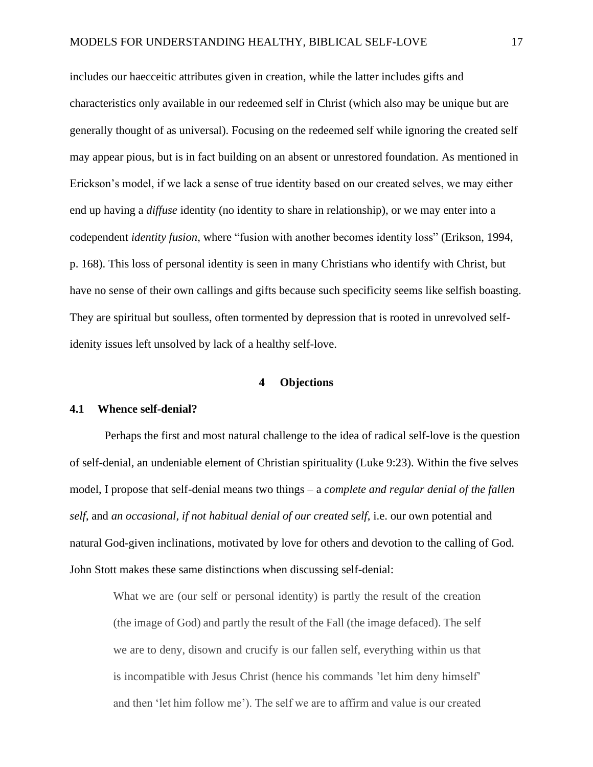includes our haecceitic attributes given in creation, while the latter includes gifts and characteristics only available in our redeemed self in Christ (which also may be unique but are generally thought of as universal). Focusing on the redeemed self while ignoring the created self may appear pious, but is in fact building on an absent or unrestored foundation. As mentioned in Erickson's model, if we lack a sense of true identity based on our created selves, we may either end up having a *diffuse* identity (no identity to share in relationship), or we may enter into a codependent *identity fusion*, where "fusion with another becomes identity loss" (Erikson, 1994, p. 168). This loss of personal identity is seen in many Christians who identify with Christ, but have no sense of their own callings and gifts because such specificity seems like selfish boasting. They are spiritual but soulless, often tormented by depression that is rooted in unrevolved selfidenity issues left unsolved by lack of a healthy self-love.

# **4 Objections**

### <span id="page-16-1"></span><span id="page-16-0"></span>**4.1 Whence self-denial?**

Perhaps the first and most natural challenge to the idea of radical self-love is the question of self-denial, an undeniable element of Christian spirituality (Luke 9:23). Within the five selves model, I propose that self-denial means two things – a *complete and regular denial of the fallen self*, and *an occasional, if not habitual denial of our created self*, i.e. our own potential and natural God-given inclinations, motivated by love for others and devotion to the calling of God. John Stott makes these same distinctions when discussing self-denial:

What we are (our self or personal identity) is partly the result of the creation (the image of God) and partly the result of the Fall (the image defaced). The self we are to deny, disown and crucify is our fallen self, everything within us that is incompatible with Jesus Christ (hence his commands 'let him deny himself' and then 'let him follow me'). The self we are to affirm and value is our created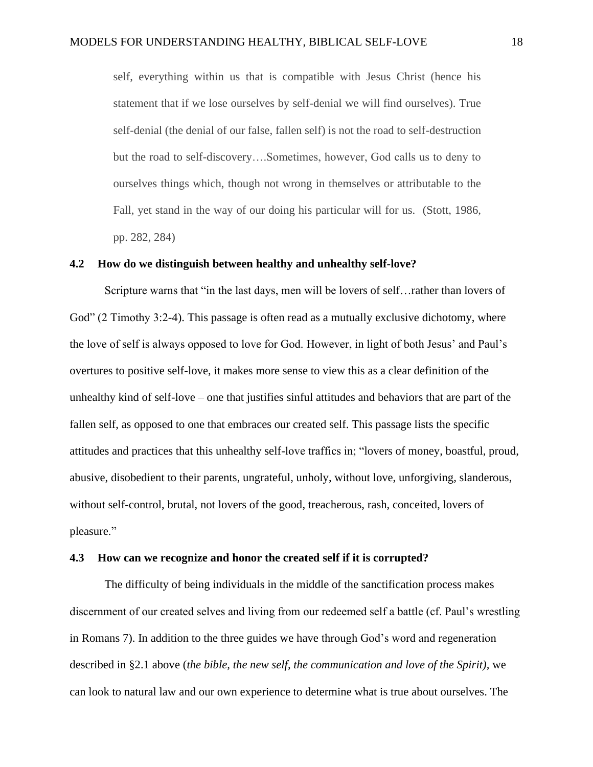self, everything within us that is compatible with Jesus Christ (hence his statement that if we lose ourselves by self-denial we will find ourselves). True self-denial (the denial of our false, fallen self) is not the road to self-destruction but the road to self-discovery….Sometimes, however, God calls us to deny to ourselves things which, though not wrong in themselves or attributable to the Fall, yet stand in the way of our doing his particular will for us. (Stott, 1986, pp. 282, 284)

#### <span id="page-17-0"></span>**4.2 How do we distinguish between healthy and unhealthy self-love?**

Scripture warns that "in the last days, men will be lovers of self…rather than lovers of God" (2 Timothy 3:2-4). This passage is often read as a mutually exclusive dichotomy, where the love of self is always opposed to love for God. However, in light of both Jesus' and Paul's overtures to positive self-love, it makes more sense to view this as a clear definition of the unhealthy kind of self-love – one that justifies sinful attitudes and behaviors that are part of the fallen self, as opposed to one that embraces our created self. This passage lists the specific attitudes and practices that this unhealthy self-love traffics in; "lovers of money, boastful, proud, abusive, disobedient to their parents, ungrateful, unholy, without love, unforgiving, slanderous, without self-control, brutal, not lovers of the good, treacherous, rash, conceited, lovers of pleasure."

#### <span id="page-17-1"></span>**4.3 How can we recognize and honor the created self if it is corrupted?**

The difficulty of being individuals in the middle of the sanctification process makes discernment of our created selves and living from our redeemed self a battle (cf. Paul's wrestling in Romans 7). In addition to the three guides we have through God's word and regeneration described in [§2.1 above](#page-5-0) (*the bible, the new self, the communication and love of the Spirit),* we can look to natural law and our own experience to determine what is true about ourselves. The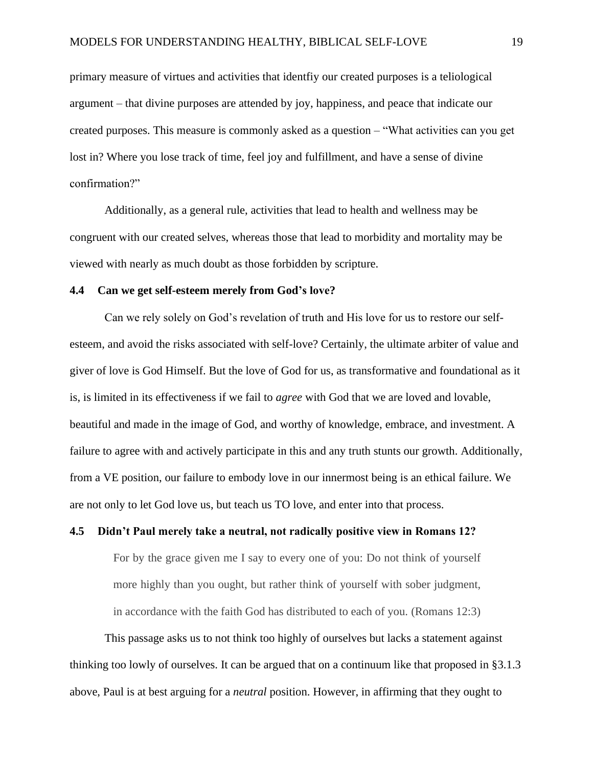primary measure of virtues and activities that identfiy our created purposes is a teliological argument – that divine purposes are attended by joy, happiness, and peace that indicate our created purposes. This measure is commonly asked as a question – "What activities can you get lost in? Where you lose track of time, feel joy and fulfillment, and have a sense of divine confirmation?"

Additionally, as a general rule, activities that lead to health and wellness may be congruent with our created selves, whereas those that lead to morbidity and mortality may be viewed with nearly as much doubt as those forbidden by scripture.

#### <span id="page-18-0"></span>**4.4 Can we get self-esteem merely from God's love?**

Can we rely solely on God's revelation of truth and His love for us to restore our selfesteem, and avoid the risks associated with self-love? Certainly, the ultimate arbiter of value and giver of love is God Himself. But the love of God for us, as transformative and foundational as it is, is limited in its effectiveness if we fail to *agree* with God that we are loved and lovable, beautiful and made in the image of God, and worthy of knowledge, embrace, and investment. A failure to agree with and actively participate in this and any truth stunts our growth. Additionally, from a VE position, our failure to embody love in our innermost being is an ethical failure. We are not only to let God love us, but teach us TO love, and enter into that process.

# <span id="page-18-1"></span>**4.5 Didn't Paul merely take a neutral, not radically positive view in Romans 12?**

For by the grace given me I say to every one of you: Do not think of yourself more highly than you ought, but rather think of yourself with sober judgment, in accordance with the faith God has distributed to each of you. (Romans 12:3)

This passage asks us to not think too highly of ourselves but lacks a statement against thinking too lowly of ourselves. It can be argued that on a continuum like that proposed in [§3.1.3](#page-12-0)  [above,](#page-12-0) Paul is at best arguing for a *neutral* position. However, in affirming that they ought to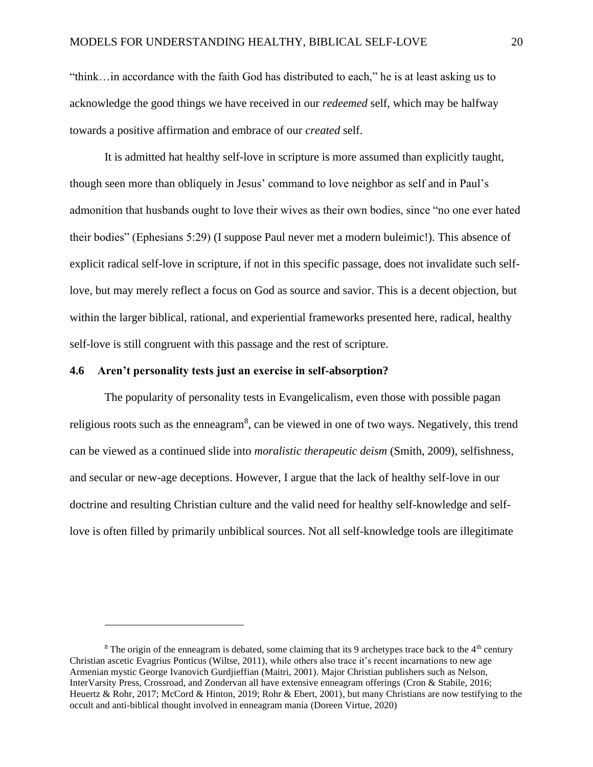"think…in accordance with the faith God has distributed to each," he is at least asking us to acknowledge the good things we have received in our *redeemed* self, which may be halfway towards a positive affirmation and embrace of our *created* self.

It is admitted hat healthy self-love in scripture is more assumed than explicitly taught, though seen more than obliquely in Jesus' command to love neighbor as self and in Paul's admonition that husbands ought to love their wives as their own bodies, since "no one ever hated their bodies" (Ephesians 5:29) (I suppose Paul never met a modern buleimic!). This absence of explicit radical self-love in scripture, if not in this specific passage, does not invalidate such selflove, but may merely reflect a focus on God as source and savior. This is a decent objection, but within the larger biblical, rational, and experiential frameworks presented here, radical, healthy self-love is still congruent with this passage and the rest of scripture.

### <span id="page-19-0"></span>**4.6 Aren't personality tests just an exercise in self-absorption?**

The popularity of personality tests in Evangelicalism, even those with possible pagan religious roots such as the enneagram<sup>8</sup>, can be viewed in one of two ways. Negatively, this trend can be viewed as a continued slide into *moralistic therapeutic deism* (Smith, 2009), selfishness, and secular or new-age deceptions. However, I argue that the lack of healthy self-love in our doctrine and resulting Christian culture and the valid need for healthy self-knowledge and selflove is often filled by primarily unbiblical sources. Not all self-knowledge tools are illegitimate

<sup>&</sup>lt;sup>8</sup> The origin of the enneagram is debated, some claiming that its 9 archetypes trace back to the  $4<sup>th</sup>$  century Christian ascetic Evagrius Ponticus (Wiltse, 2011), while others also trace it's recent incarnations to new age Armenian mystic George Ivanovich Gurdjieffian (Maitri, 2001). Major Christian publishers such as Nelson, InterVarsity Press, Crossroad, and Zondervan all have extensive enneagram offerings (Cron & Stabile, 2016; Heuertz & Rohr, 2017; McCord & Hinton, 2019; Rohr & Ebert, 2001), but many Christians are now testifying to the occult and anti-biblical thought involved in enneagram mania (Doreen Virtue, 2020)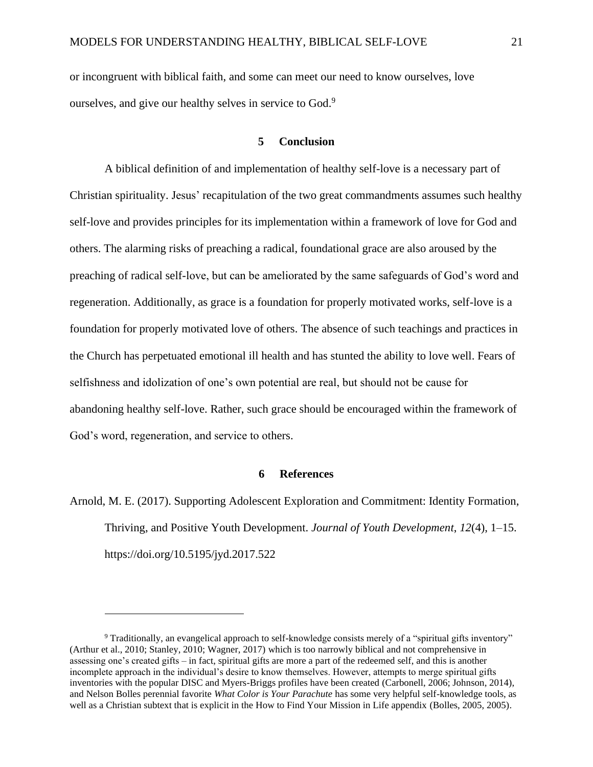or incongruent with biblical faith, and some can meet our need to know ourselves, love ourselves, and give our healthy selves in service to God.<sup>9</sup>

### **5 Conclusion**

<span id="page-20-0"></span>A biblical definition of and implementation of healthy self-love is a necessary part of Christian spirituality. Jesus' recapitulation of the two great commandments assumes such healthy self-love and provides principles for its implementation within a framework of love for God and others. The alarming risks of preaching a radical, foundational grace are also aroused by the preaching of radical self-love, but can be ameliorated by the same safeguards of God's word and regeneration. Additionally, as grace is a foundation for properly motivated works, self-love is a foundation for properly motivated love of others. The absence of such teachings and practices in the Church has perpetuated emotional ill health and has stunted the ability to love well. Fears of selfishness and idolization of one's own potential are real, but should not be cause for abandoning healthy self-love. Rather, such grace should be encouraged within the framework of God's word, regeneration, and service to others.

# **6 References**

<span id="page-20-1"></span>Arnold, M. E. (2017). Supporting Adolescent Exploration and Commitment: Identity Formation, Thriving, and Positive Youth Development. *Journal of Youth Development*, *12*(4), 1–15. https://doi.org/10.5195/jyd.2017.522

<sup>9</sup> Traditionally, an evangelical approach to self-knowledge consists merely of a "spiritual gifts inventory" (Arthur et al., 2010; Stanley, 2010; Wagner, 2017) which is too narrowly biblical and not comprehensive in assessing one's created gifts – in fact, spiritual gifts are more a part of the redeemed self, and this is another incomplete approach in the individual's desire to know themselves. However, attempts to merge spiritual gifts inventories with the popular DISC and Myers-Briggs profiles have been created (Carbonell, 2006; Johnson, 2014), and Nelson Bolles perennial favorite *What Color is Your Parachute* has some very helpful self-knowledge tools, as well as a Christian subtext that is explicit in the How to Find Your Mission in Life appendix (Bolles, 2005, 2005).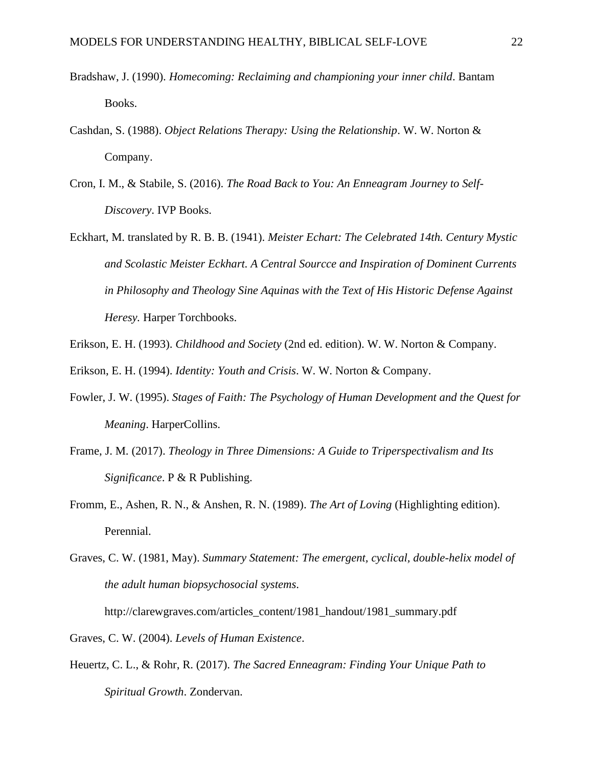- Bradshaw, J. (1990). *Homecoming: Reclaiming and championing your inner child*. Bantam Books.
- Cashdan, S. (1988). *Object Relations Therapy: Using the Relationship*. W. W. Norton & Company.
- Cron, I. M., & Stabile, S. (2016). *The Road Back to You: An Enneagram Journey to Self-Discovery*. IVP Books.
- Eckhart, M. translated by R. B. B. (1941). *Meister Echart: The Celebrated 14th. Century Mystic and Scolastic Meister Eckhart. A Central Sourcce and Inspiration of Dominent Currents in Philosophy and Theology Sine Aquinas with the Text of His Historic Defense Against Heresy.* Harper Torchbooks.
- Erikson, E. H. (1993). *Childhood and Society* (2nd ed. edition). W. W. Norton & Company.
- Erikson, E. H. (1994). *Identity: Youth and Crisis*. W. W. Norton & Company.
- Fowler, J. W. (1995). *Stages of Faith: The Psychology of Human Development and the Quest for Meaning*. HarperCollins.
- Frame, J. M. (2017). *Theology in Three Dimensions: A Guide to Triperspectivalism and Its Significance*. P & R Publishing.
- Fromm, E., Ashen, R. N., & Anshen, R. N. (1989). *The Art of Loving* (Highlighting edition). Perennial.
- Graves, C. W. (1981, May). *Summary Statement: The emergent, cyclical, double-helix model of the adult human biopsychosocial systems*.

http://clarewgraves.com/articles\_content/1981\_handout/1981\_summary.pdf

Graves, C. W. (2004). *Levels of Human Existence*.

Heuertz, C. L., & Rohr, R. (2017). *The Sacred Enneagram: Finding Your Unique Path to Spiritual Growth*. Zondervan.